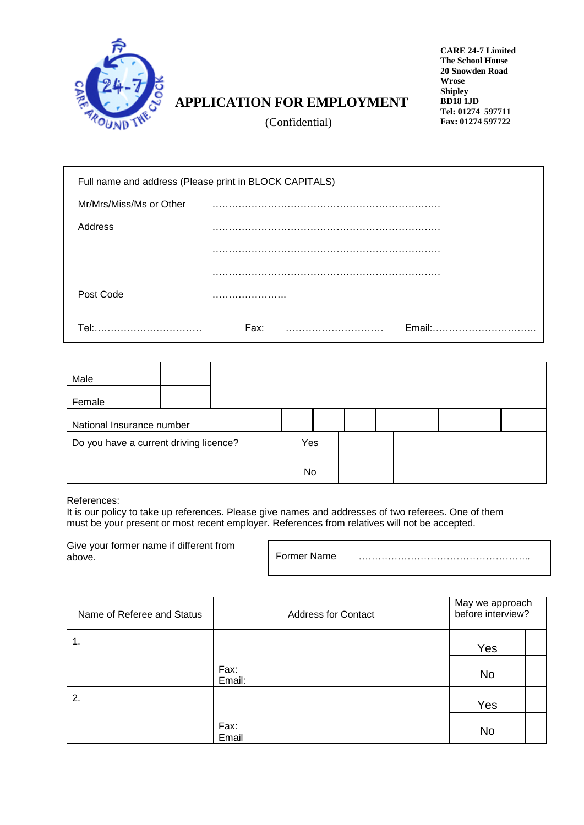

## **APPLICATION FOR EMPLOYMENT**

**CARE 24-7 Limited The School House 20 Snowden Road Wrose Shipley BD18 1JD Tel: 01274 597711 Fax: 01274 597722**

(Confidential)

|                         | Full name and address (Please print in BLOCK CAPITALS) |
|-------------------------|--------------------------------------------------------|
| Mr/Mrs/Miss/Ms or Other |                                                        |
| Address                 | .                                                      |
|                         |                                                        |
|                         |                                                        |
| Post Code               |                                                        |
| Tel:                    | Fax:<br><b>Email:</b>                                  |

| Male                                   |  |     |    |  |  |  |  |
|----------------------------------------|--|-----|----|--|--|--|--|
| Female                                 |  |     |    |  |  |  |  |
| National Insurance number              |  |     |    |  |  |  |  |
| Do you have a current driving licence? |  | Yes |    |  |  |  |  |
|                                        |  |     | No |  |  |  |  |

References:

It is our policy to take up references. Please give names and addresses of two referees. One of them must be your present or most recent employer. References from relatives will not be accepted.

Give your former name if different from above.

Former Name ……………………………………………..

| Name of Referee and Status | <b>Address for Contact</b> | May we approach<br>before interview? |  |  |
|----------------------------|----------------------------|--------------------------------------|--|--|
| 1.                         |                            | Yes                                  |  |  |
|                            | Fax:<br>Email:             | No                                   |  |  |
| 2.                         |                            | Yes                                  |  |  |
|                            | Fax:<br>Email              | <b>No</b>                            |  |  |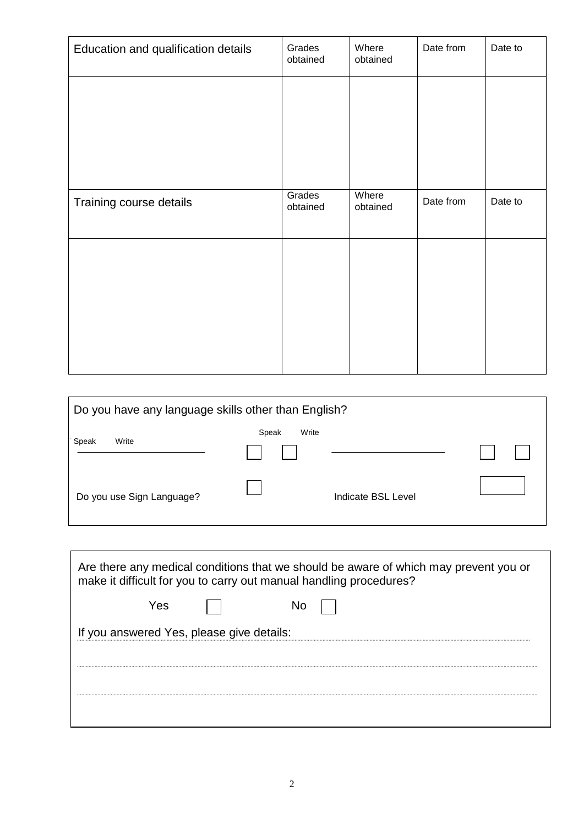| Education and qualification details | Grades<br>obtained | Where<br>obtained | Date from | Date to |
|-------------------------------------|--------------------|-------------------|-----------|---------|
|                                     |                    |                   |           |         |
|                                     |                    |                   |           |         |
|                                     |                    |                   |           |         |
| Training course details             | Grades<br>obtained | Where<br>obtained | Date from | Date to |
|                                     |                    |                   |           |         |
|                                     |                    |                   |           |         |
|                                     |                    |                   |           |         |
|                                     |                    |                   |           |         |

| Do you have any language skills other than English? |                |                           |  |  |  |  |
|-----------------------------------------------------|----------------|---------------------------|--|--|--|--|
| Write<br>Speak                                      | Write<br>Speak |                           |  |  |  |  |
| Do you use Sign Language?                           |                | <b>Indicate BSL Level</b> |  |  |  |  |

| Are there any medical conditions that we should be aware of which may prevent you or<br>make it difficult for you to carry out manual handling procedures? |  |  |  |  |  |  |  |
|------------------------------------------------------------------------------------------------------------------------------------------------------------|--|--|--|--|--|--|--|
| Yes                                                                                                                                                        |  |  |  |  |  |  |  |
| If you answered Yes, please give details:                                                                                                                  |  |  |  |  |  |  |  |
|                                                                                                                                                            |  |  |  |  |  |  |  |
|                                                                                                                                                            |  |  |  |  |  |  |  |
|                                                                                                                                                            |  |  |  |  |  |  |  |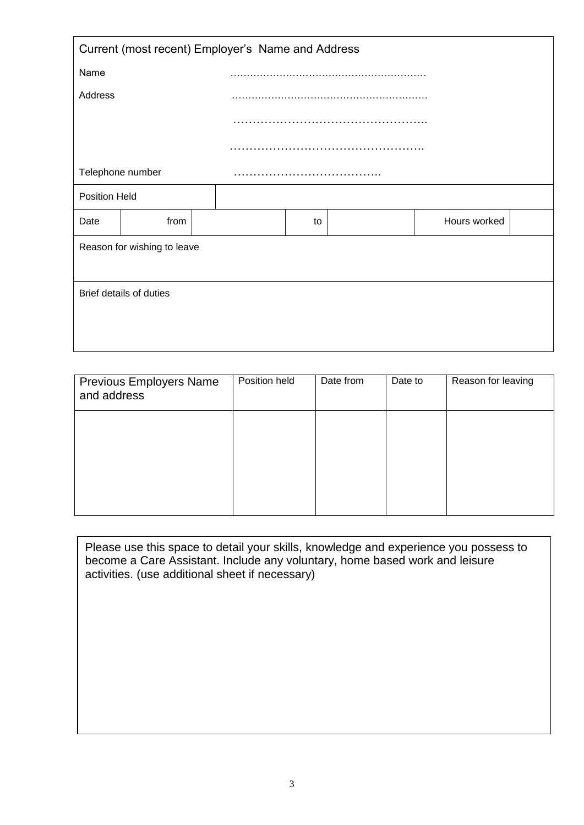| Current (most recent) Employer's Name and Address |                             |  |    |  |              |  |  |  |  |
|---------------------------------------------------|-----------------------------|--|----|--|--------------|--|--|--|--|
| Name                                              |                             |  |    |  |              |  |  |  |  |
| Address                                           |                             |  |    |  |              |  |  |  |  |
|                                                   |                             |  |    |  |              |  |  |  |  |
|                                                   |                             |  |    |  |              |  |  |  |  |
|                                                   | Telephone number            |  |    |  |              |  |  |  |  |
| Position Held                                     |                             |  |    |  |              |  |  |  |  |
| Date                                              | from                        |  | to |  | Hours worked |  |  |  |  |
|                                                   | Reason for wishing to leave |  |    |  |              |  |  |  |  |
|                                                   |                             |  |    |  |              |  |  |  |  |
|                                                   | Brief details of duties     |  |    |  |              |  |  |  |  |
|                                                   |                             |  |    |  |              |  |  |  |  |
|                                                   |                             |  |    |  |              |  |  |  |  |

| <b>Previous Employers Name</b><br>and address | Position held | Date from | Date to | Reason for leaving |
|-----------------------------------------------|---------------|-----------|---------|--------------------|
|                                               |               |           |         |                    |
|                                               |               |           |         |                    |
|                                               |               |           |         |                    |

Please use this space to detail your skills, knowledge and experience you possess to become a Care Assistant. Include any voluntary, home based work and leisure activities. (use additional sheet if necessary)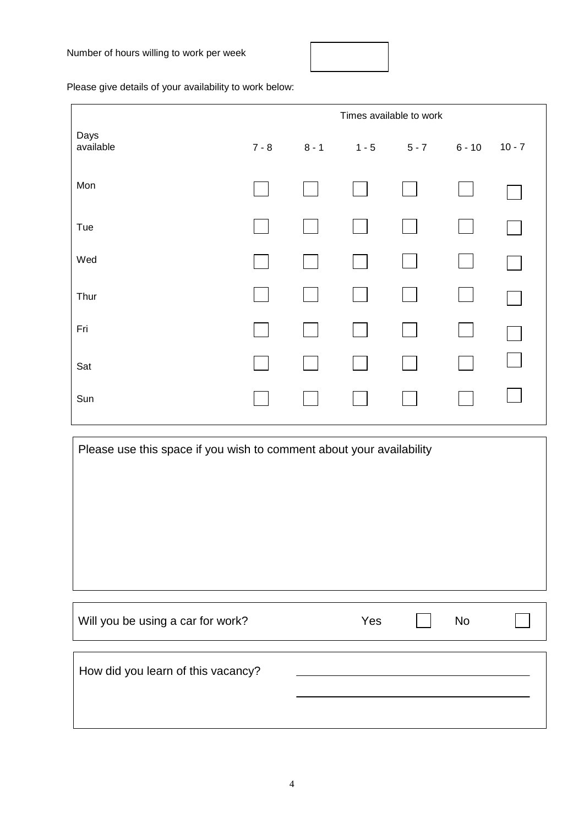

Please give details of your availability to work below:

|                                                                      | Times available to work |         |         |         |          |          |  |  |
|----------------------------------------------------------------------|-------------------------|---------|---------|---------|----------|----------|--|--|
| Days<br>available                                                    | $7 - 8$                 | $8 - 1$ | $1 - 5$ | $5 - 7$ | $6 - 10$ | $10 - 7$ |  |  |
| Mon                                                                  |                         |         |         |         |          |          |  |  |
| Tue                                                                  |                         |         |         |         |          |          |  |  |
| Wed                                                                  |                         |         |         |         |          |          |  |  |
| Thur                                                                 |                         |         |         |         |          |          |  |  |
| Fri                                                                  |                         |         |         |         |          |          |  |  |
| Sat                                                                  |                         |         |         |         |          |          |  |  |
| Sun                                                                  |                         |         |         |         |          |          |  |  |
| Please use this space if you wish to comment about your availability |                         |         |         |         |          |          |  |  |
|                                                                      |                         |         |         |         |          |          |  |  |
|                                                                      |                         |         |         |         |          |          |  |  |
|                                                                      |                         |         |         |         |          |          |  |  |
|                                                                      |                         |         |         |         |          |          |  |  |
|                                                                      |                         |         |         |         |          |          |  |  |

| Will you be using a car for work?  | Yes | <b>No</b> |  |
|------------------------------------|-----|-----------|--|
|                                    |     |           |  |
| How did you learn of this vacancy? |     |           |  |
|                                    |     |           |  |
|                                    |     |           |  |